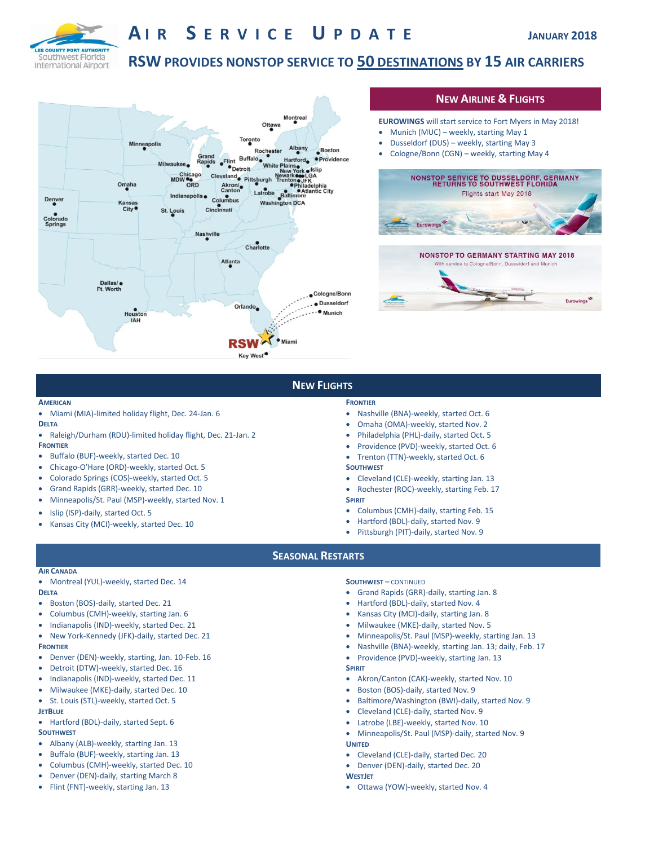

# **A I R S E R V I C E U P D A T E JANUARY <sup>2018</sup>**

# **RSW PROVIDES NONSTOP SERVICE TO 50 DESTINATIONS BY 15 AIR CARRIERS**



## **NEW AIRLINE & FLIGHTS**

- **EUROWINGS** will start service to Fort Myers in May 2018!
- Munich (MUC) weekly, starting May 1
- Dusseldorf (DUS) weekly, starting May 3
- Cologne/Bonn (CGN) weekly, starting May 4





# **NEW FLIGHTS**

#### **AMERICAN**

Miami (MIA)-limited holiday flight, Dec. 24-Jan. 6

#### **DELTA**

- Raleigh/Durham (RDU)-limited holiday flight, Dec. 21-Jan. 2 **FRONTIER**
- Buffalo (BUF)-weekly, started Dec. 10
- Chicago-O'Hare (ORD)-weekly, started Oct. 5
- Colorado Springs (COS)-weekly, started Oct. 5
- Grand Rapids (GRR)-weekly, started Dec. 10
- Minneapolis/St. Paul (MSP)-weekly, started Nov. 1
- Islip (ISP)-daily, started Oct. 5
- Kansas City (MCI)-weekly, started Dec. 10
- **FRONTIER**
- Nashville (BNA)-weekly, started Oct. 6
- Omaha (OMA)-weekly, started Nov. 2
- Philadelphia (PHL)-daily, started Oct. 5
- Providence (PVD)-weekly, started Oct. 6
- Trenton (TTN)-weekly, started Oct. 6
- **SOUTHWEST**
- Cleveland (CLE)-weekly, starting Jan. 13
- Rochester (ROC)-weekly, starting Feb. 17
- **SPIRIT**
- Columbus (CMH)-daily, starting Feb. 15 Hartford (BDL)-daily, started Nov. 9
- Pittsburgh (PIT)-daily, started Nov. 9
- **SEASONAL RESTARTS**

### **AIR CANADA**

- **DELTA**
- Boston (BOS)-daily, started Dec. 21
- Columbus (CMH)-weekly, starting Jan. 6
- Indianapolis (IND)-weekly, started Dec. 21
- New York-Kennedy (JFK)-daily, started Dec. 21 **FRONTIER**
- Denver (DEN)-weekly, starting, Jan. 10-Feb. 16
- Detroit (DTW)-weekly, started Dec. 16
- Indianapolis (IND)-weekly, started Dec. 11
- Milwaukee (MKE)-daily, started Dec. 10
- St. Louis (STL)-weekly, started Oct. 5
- **JETBLUE**
- Hartford (BDL)-daily, started Sept. 6 **SOUTHWEST**
- Albany (ALB)-weekly, starting Jan. 13
- Buffalo (BUF)-weekly, starting Jan. 13
- Columbus (CMH)-weekly, started Dec. 10
- Denver (DEN)-daily, starting March 8
- Flint (FNT)-weekly, starting Jan. 13

#### **SOUTHWEST** – CONTINUED

- Grand Rapids (GRR)-daily, starting Jan. 8
- Hartford (BDL)-daily, started Nov. 4
- Kansas City (MCI)-daily, starting Jan. 8
- Milwaukee (MKE)-daily, started Nov. 5
- Minneapolis/St. Paul (MSP)-weekly, starting Jan. 13
- Nashville (BNA)-weekly, starting Jan. 13; daily, Feb. 17
- Providence (PVD)-weekly, starting Jan. 13

#### **SPIRIT**

- Akron/Canton (CAK)-weekly, started Nov. 10
- Boston (BOS)-daily, started Nov. 9
- Baltimore/Washington (BWI)-daily, started Nov. 9
- Cleveland (CLE)-daily, started Nov. 9
- Latrobe (LBE)-weekly, started Nov. 10
- Minneapolis/St. Paul (MSP)-daily, started Nov. 9 **UNITED**
- Cleveland (CLE)-daily, started Dec. 20
- Denver (DEN)-daily, started Dec. 20
- **WESTJET**
- Ottawa (YOW)-weekly, started Nov. 4

- Montreal (YUL)-weekly, started Dec. 14
- 
- 
- 

- 
- 
-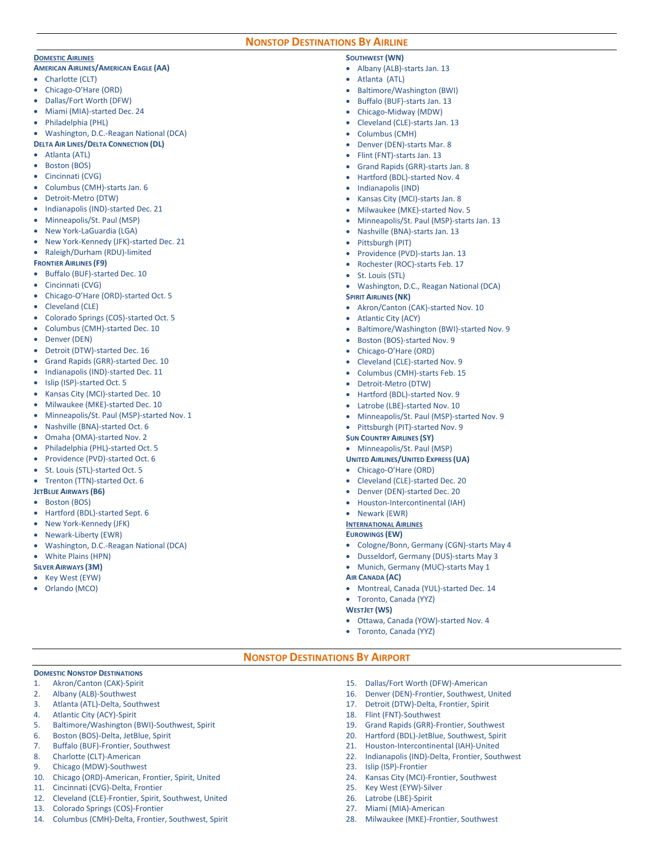#### **NONSTOP DESTINATIONS BY AIRLINE**

#### **DOMESTIC AIRLINES**

#### **AMERICAN AIRLINES/AMERICAN EAGLE (AA)**

- Charlotte (CLT)
- Chicago-O'Hare (ORD)
- Dallas/Fort Worth (DFW)
- Miami (MIA)-started Dec. 24
- Philadelphia (PHL)
- Washington, D.C.-Reagan National (DCA)

#### **DELTA AIR LINES/DELTA CONNECTION (DL)**

- Atlanta (ATL)
- Boston (BOS)
- Cincinnati (CVG)
- Columbus (CMH)-starts Jan. 6
- Detroit-Metro (DTW)
- Indianapolis (IND)-started Dec. 21
- Minneapolis/St. Paul (MSP)
- New York-LaGuardia (LGA)
- New York-Kennedy (JFK)-started Dec. 21
- Raleigh/Durham (RDU)-limited

#### **FRONTIER AIRLINES (F9)**

- Buffalo (BUF)-started Dec. 10
- Cincinnati (CVG)
- Chicago-O'Hare (ORD)-started Oct. 5
- Cleveland (CLE)
- Colorado Springs (COS)-started Oct. 5
- Columbus (CMH)-started Dec. 10
- Denver (DEN)
- Detroit (DTW)-started Dec. 16
- Grand Rapids (GRR)-started Dec. 10
- Indianapolis (IND)-started Dec. 11
- Islip (ISP)-started Oct. 5
- Kansas City (MCI)-started Dec. 10
- Milwaukee (MKE)-started Dec. 10
- Minneapolis/St. Paul (MSP)-started Nov. 1
- Nashville (BNA)-started Oct. 6
- Omaha (OMA)-started Nov. 2
- Philadelphia (PHL)-started Oct. 5
- Providence (PVD)-started Oct. 6
- St. Louis (STL)-started Oct. 5
- Trenton (TTN)-started Oct. 6
- **JETBLUE AIRWAYS (B6)**
- Boston (BOS)
- Hartford (BDL)-started Sept. 6
- New York-Kennedy (JFK)
- Newark-Liberty (EWR)

**DOMESTIC NONSTOP DESTINATIONS** 1. Akron/Canton (CAK)-Spirit 2. Albany (ALB)-Southwest 3. Atlanta (ATL)-Delta, Southwest 4. Atlantic City (ACY)-Spirit

5. Baltimore/Washington (BWI)-Southwest, Spirit

10. Chicago (ORD)-American, Frontier, Spirit, United

12. Cleveland (CLE)-Frontier, Spirit, Southwest, United

14. Columbus (CMH)-Delta, Frontier, Southwest, Spirit

6. Boston (BOS)-Delta, JetBlue, Spirit 7. Buffalo (BUF)-Frontier, Southwest 8. Charlotte (CLT)-American 9. Chicago (MDW)-Southwest

11. Cincinnati (CVG)-Delta, Frontier

13. Colorado Springs (COS)-Frontier

- Washington, D.C.-Reagan National (DCA)
- White Plains (HPN)

### **SILVER AIRWAYS (3M)**

- Key West (EYW)
- Orlando (MCO)

#### **SOUTHWEST (WN)**

- Albany (ALB)-starts Jan. 13
- Atlanta (ATL)
- Baltimore/Washington (BWI)
- Buffalo (BUF)-starts Jan. 13
- Chicago-Midway (MDW)
- Cleveland (CLE)-starts Jan. 13
- Columbus (CMH)
- Denver (DEN)-starts Mar. 8
- Flint (FNT)-starts Jan. 13
- Grand Rapids (GRR)-starts Jan. 8
- Hartford (BDL)-started Nov. 4
- Indianapolis (IND)
- Kansas City (MCI)-starts Jan. 8
- Milwaukee (MKE)-started Nov. 5
- Minneapolis/St. Paul (MSP)-starts Jan. 13
- Nashville (BNA)-starts Jan. 13
- Pittsburgh (PIT)
- Providence (PVD)-starts Jan. 13
- Rochester (ROC)-starts Feb. 17
- St. Louis (STL)
- Washington, D.C., Reagan National (DCA)
- **SPIRIT AIRLINES (NK)**
- Akron/Canton (CAK)-started Nov. 10
- Atlantic City (ACY)
- Baltimore/Washington (BWI)-started Nov. 9
- Boston (BOS)-started Nov. 9
- Chicago-O'Hare (ORD)
- Cleveland (CLE)-started Nov. 9
- Columbus (CMH)-starts Feb. 15
- Detroit-Metro (DTW)
- Hartford (BDL)-started Nov. 9
- Latrobe (LBE)-started Nov. 10
- Minneapolis/St. Paul (MSP)-started Nov. 9
- Pittsburgh (PIT)-started Nov. 9

#### **SUN COUNTRY AIRLINES (SY)**

- Minneapolis/St. Paul (MSP)
- **UNITED AIRLINES/UNITED EXPRESS (UA)**

#### Chicago-O'Hare (ORD)

- Cleveland (CLE)-started Dec. 20
- Denver (DEN)-started Dec. 20
- Houston-Intercontinental (IAH)
- Newark (EWR)

## **INTERNATIONAL AIRLINES**

**EUROWINGS (EW)**

Toronto, Canada (YYZ)

Toronto, Canada (YYZ)

18. Flint (FNT)-Southwest

23. Islip (ISP)-Frontier

25. Key West (EYW)-Silver 26. Latrobe (LBE)-Spirit 27. Miami (MIA)-American

- Cologne/Bonn, Germany (CGN)-starts May 4
- Dusseldorf, Germany (DUS)-starts May 3

Ottawa, Canada (YOW)-started Nov. 4

15. Dallas/Fort Worth (DFW)-American 16. Denver (DEN)-Frontier, Southwest, United 17. Detroit (DTW)-Delta, Frontier, Spirit

19. Grand Rapids (GRR)-Frontier, Southwest 20. Hartford (BDL)-JetBlue, Southwest, Spirit 21. Houston-Intercontinental (IAH)-United 22. Indianapolis (IND)-Delta, Frontier, Southwest

24. Kansas City (MCI)-Frontier, Southwest

28. Milwaukee (MKE)-Frontier, Southwest

- Munich, Germany (MUC)-starts May 1
- **AIR CANADA (AC)**  Montreal, Canada (YUL)-started Dec. 14

**WESTJET (WS)** 

**NONSTOP DESTINATIONS BY AIRPORT**